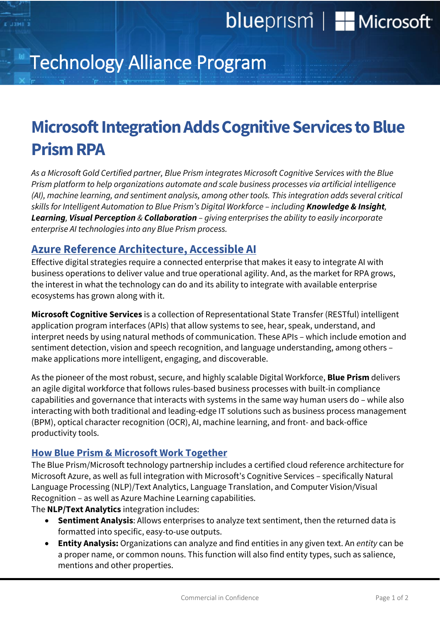# blueprism | H Microsoft

# Technology Alliance Program

### **Microsoft Integration Adds Cognitive Services to Blue Prism RPA**

*As a Microsoft Gold Certified partner, Blue Prism integrates Microsoft Cognitive Services with the Blue Prism platform to help organizations automate and scale business processes via artificial intelligence (AI), machine learning, and sentiment analysis, among other tools. This integration adds several critical skills for Intelligent Automation to Blue Prism's Digital Workforce – including Knowledge & Insight, Learning, Visual Perception & Collaboration – giving enterprises the ability to easily incorporate enterprise AI technologies into any Blue Prism process.*

#### **Azure Reference Architecture, Accessible AI**

Effective digital strategies require a connected enterprise that makes it easy to integrate AI with business operations to deliver value and true operational agility. And, as the market for RPA grows, the interest in what the technology can do and its ability to integrate with available enterprise ecosystems has grown along with it.

**Microsoft Cognitive Services** is a collection of Representational State Transfer (RESTful) intelligent application program interfaces (APIs) that allow systems to see, hear, speak, understand, and interpret needs by using natural methods of communication. These APIs – which include emotion and sentiment detection, vision and speech recognition, and language understanding, among others – make applications more intelligent, engaging, and discoverable.

As the pioneer of the most robust, secure, and highly scalable Digital Workforce, **Blue Prism** delivers an agile digital workforce that follows rules-based business processes with built-in compliance capabilities and governance that interacts with systems in the same way human users do – while also interacting with both traditional and leading-edge IT solutions such as business process management (BPM), optical character recognition (OCR), AI, machine learning, and front- and back-office productivity tools.

#### **How Blue Prism & Microsoft Work Together**

The Blue Prism/Microsoft technology partnership includes a certified cloud reference architecture for Microsoft Azure, as well as full integration with Microsoft's Cognitive Services – specifically Natural Language Processing (NLP)/Text Analytics, Language Translation, and Computer Vision/Visual Recognition – as well as Azure Machine Learning capabilities.

The **NLP/Text Analytics** integration includes:

- **Sentiment Analysis**: Allows enterprises to analyze text sentiment, then the returned data is formatted into specific, easy-to-use outputs.
- **Entity Analysis:** Organizations can analyze and find entities in any given text. An *entity* can be a proper name, or common nouns. This function will also find entity types, such as salience, mentions and other properties.